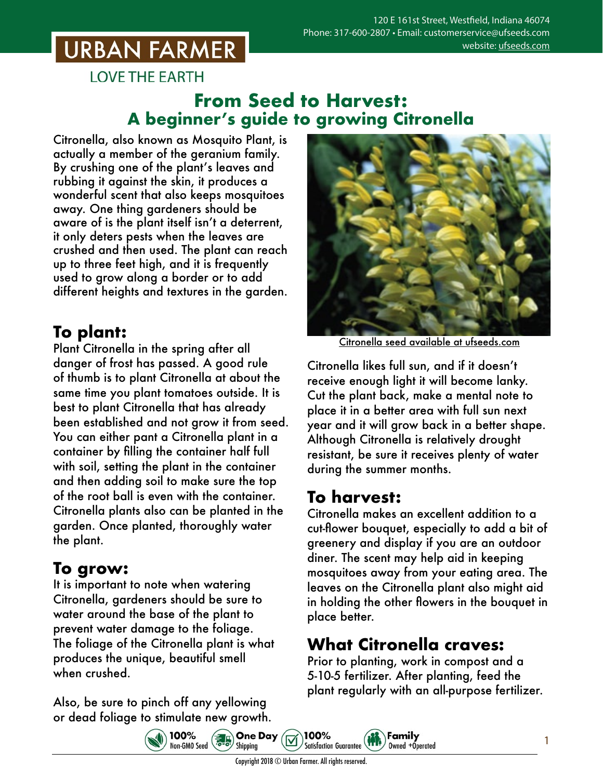## **URBAN FARMER**

**LOVE THE EARTH** 

#### **From Seed to Harvest: A beginner's guide to growing Citronella**

Citronella, also known as Mosquito Plant, is actually a member of the geranium family. By crushing one of the plant's leaves and rubbing it against the skin, it produces a wonderful scent that also keeps mosquitoes away. One thing gardeners should be aware of is the plant itself isn't a deterrent, it only deters pests when the leaves are crushed and then used. The plant can reach up to three feet high, and it is frequently used to grow along a border or to add different heights and textures in the garden.

### **To plant:**

Plant Citronella in the spring after all danger of frost has passed. A good rule of thumb is to plant Citronella at about the same time you plant tomatoes outside. It is best to plant Citronella that has already been established and not grow it from seed. You can either pant a Citronella plant in a container by filling the container half full with soil, setting the plant in the container and then adding soil to make sure the top of the root ball is even with the container. Citronella plants also can be planted in the garden. Once planted, thoroughly water the plant.

### **To grow:**

It is important to note when watering Citronella, gardeners should be sure to water around the base of the plant to prevent water damage to the foliage. The foliage of the Citronella plant is what produces the unique, beautiful smell when crushed.

Also, be sure to pinch off any yellowing or dead foliage to stimulate new growth.

100%

100%<br>Non-GM0 Seed 8. Shipping



Citronella seed [available at ufseeds.com](https://www.ufseeds.com/product-category/flowers/citronella/)

Citronella likes full sun, and if it doesn't receive enough light it will become lanky. Cut the plant back, make a mental note to place it in a better area with full sun next year and it will grow back in a better shape. Although Citronella is relatively drought resistant, be sure it receives plenty of water during the summer months.

### **To harvest:**

Citronella makes an excellent addition to a cut-flower bouquet, especially to add a bit of greenery and display if you are an outdoor diner. The scent may help aid in keeping mosquitoes away from your eating area. The leaves on the Citronella plant also might aid in holding the other flowers in the bouquet in place better.

### **What Citronella craves:**

Family

Owned +Operated

Prior to planting, work in compost and a 5-10-5 fertilizer. After planting, feed the plant regularly with an all-purpose fertilizer.

Copyright 2018 © Urban Farmer. All rights reserved.

100%

**Satisfaction Guarantee**